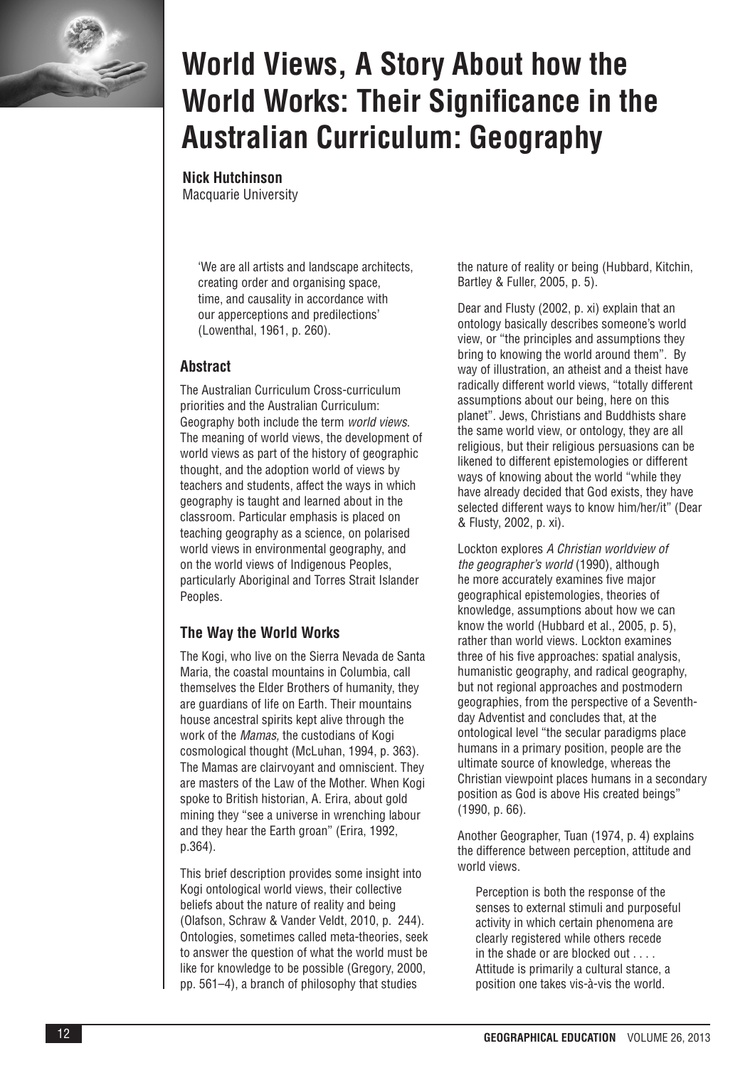

# **World Views, A Story About how the World Works: Their Significance in the Australian Curriculum: Geography**

**Nick Hutchinson**

Macquarie University

'We are all artists and landscape architects, creating order and organising space, time, and causality in accordance with our apperceptions and predilections' (Lowenthal, 1961, p. 260).

## **Abstract**

The Australian Curriculum Cross-curriculum priorities and the Australian Curriculum: Geography both include the term *world views*. The meaning of world views, the development of world views as part of the history of geographic thought, and the adoption world of views by teachers and students, affect the ways in which geography is taught and learned about in the classroom. Particular emphasis is placed on teaching geography as a science, on polarised world views in environmental geography, and on the world views of Indigenous Peoples, particularly Aboriginal and Torres Strait Islander Peoples.

## **The Way the World Works**

The Kogi, who live on the Sierra Nevada de Santa Maria, the coastal mountains in Columbia, call themselves the Elder Brothers of humanity, they are guardians of life on Earth. Their mountains house ancestral spirits kept alive through the work of the *Mamas,* the custodians of Kogi cosmological thought (McLuhan, 1994, p. 363). The Mamas are clairvoyant and omniscient. They are masters of the Law of the Mother. When Kogi spoke to British historian, A. Erira, about gold mining they "see a universe in wrenching labour and they hear the Earth groan" (Erira, 1992, p.364).

This brief description provides some insight into Kogi ontological world views, their collective beliefs about the nature of reality and being (Olafson, Schraw & Vander Veldt, 2010, p. 244). Ontologies, sometimes called meta-theories, seek to answer the question of what the world must be like for knowledge to be possible (Gregory, 2000, pp. 561–4), a branch of philosophy that studies

the nature of reality or being (Hubbard, Kitchin, Bartley & Fuller, 2005, p. 5).

Dear and Flusty (2002, p. xi) explain that an ontology basically describes someone's world view, or "the principles and assumptions they bring to knowing the world around them". By way of illustration, an atheist and a theist have radically different world views, "totally different assumptions about our being, here on this planet". Jews, Christians and Buddhists share the same world view, or ontology, they are all religious, but their religious persuasions can be likened to different epistemologies or different ways of knowing about the world "while they have already decided that God exists, they have selected different ways to know him/her/it" (Dear & Flusty, 2002, p. xi).

Lockton explores *A Christian worldview of the geographer's world* (1990), although he more accurately examines five major geographical epistemologies, theories of knowledge, assumptions about how we can know the world (Hubbard et al., 2005, p. 5), rather than world views. Lockton examines three of his five approaches: spatial analysis, humanistic geography, and radical geography, but not regional approaches and postmodern geographies, from the perspective of a Seventhday Adventist and concludes that, at the ontological level "the secular paradigms place humans in a primary position, people are the ultimate source of knowledge, whereas the Christian viewpoint places humans in a secondary position as God is above His created beings" (1990, p. 66).

Another Geographer, Tuan (1974, p. 4) explains the difference between perception, attitude and world views.

Perception is both the response of the senses to external stimuli and purposeful activity in which certain phenomena are clearly registered while others recede in the shade or are blocked out . . . . Attitude is primarily a cultural stance, a position one takes vis-à-vis the world.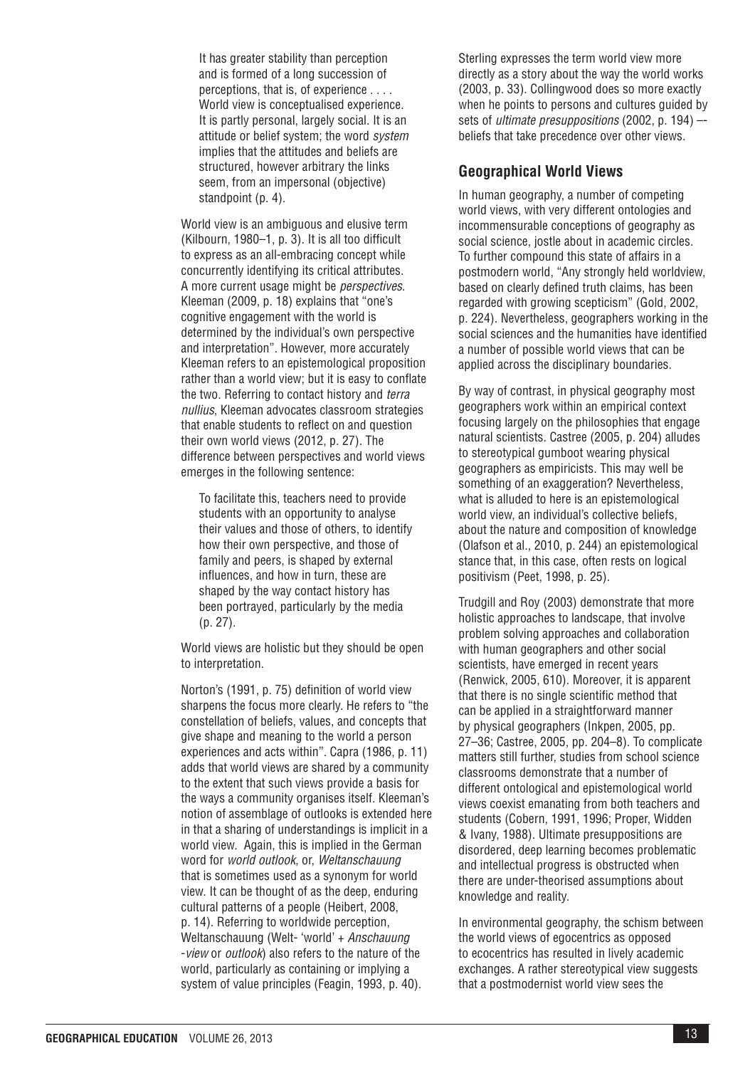It has greater stability than perception and is formed of a long succession of perceptions, that is, of experience . . . . World view is conceptualised experience. It is partly personal, largely social. It is an attitude or belief system; the word *system* implies that the attitudes and beliefs are structured, however arbitrary the links seem, from an impersonal (objective) standpoint (p. 4).

World view is an ambiguous and elusive term (Kilbourn, 1980–1, p. 3). It is all too difficult to express as an all-embracing concept while concurrently identifying its critical attributes. A more current usage might be *perspectives*. Kleeman (2009, p. 18) explains that "one's cognitive engagement with the world is determined by the individual's own perspective and interpretation". However, more accurately Kleeman refers to an epistemological proposition rather than a world view; but it is easy to conflate the two. Referring to contact history and *terra nullius*, Kleeman advocates classroom strategies that enable students to reflect on and question their own world views (2012, p. 27). The difference between perspectives and world views emerges in the following sentence:

To facilitate this, teachers need to provide students with an opportunity to analyse their values and those of others, to identify how their own perspective, and those of family and peers, is shaped by external influences, and how in turn, these are shaped by the way contact history has been portrayed, particularly by the media (p. 27).

World views are holistic but they should be open to interpretation.

Norton's (1991, p. 75) definition of world view sharpens the focus more clearly. He refers to "the constellation of beliefs, values, and concepts that give shape and meaning to the world a person experiences and acts within". Capra (1986, p. 11) adds that world views are shared by a community to the extent that such views provide a basis for the ways a community organises itself. Kleeman's notion of assemblage of outlooks is extended here in that a sharing of understandings is implicit in a world view. Again, this is implied in the German word for *world outlook*, or, *Weltanschauung* that is sometimes used as a synonym for world view. It can be thought of as the deep, enduring cultural patterns of a people (Heibert, 2008, p. 14). Referring to worldwide perception, Weltanschauung (Welt- 'world' + *Anschauung* -*view* or *outlook*) also refers to the nature of the world, particularly as containing or implying a system of value principles (Feagin, 1993, p. 40).

Sterling expresses the term world view more directly as a story about the way the world works (2003, p. 33). Collingwood does so more exactly when he points to persons and cultures guided by sets of *ultimate presuppositions* (2002, p. 194) – beliefs that take precedence over other views.

#### **Geographical World Views**

In human geography, a number of competing world views, with very different ontologies and incommensurable conceptions of geography as social science, jostle about in academic circles. To further compound this state of affairs in a postmodern world, "Any strongly held worldview, based on clearly defined truth claims, has been regarded with growing scepticism" (Gold, 2002, p. 224). Nevertheless, geographers working in the social sciences and the humanities have identified a number of possible world views that can be applied across the disciplinary boundaries.

By way of contrast, in physical geography most geographers work within an empirical context focusing largely on the philosophies that engage natural scientists. Castree (2005, p. 204) alludes to stereotypical gumboot wearing physical geographers as empiricists. This may well be something of an exaggeration? Nevertheless, what is alluded to here is an epistemological world view, an individual's collective beliefs, about the nature and composition of knowledge (Olafson et al., 2010, p. 244) an epistemological stance that, in this case, often rests on logical positivism (Peet, 1998, p. 25).

Trudgill and Roy (2003) demonstrate that more holistic approaches to landscape, that involve problem solving approaches and collaboration with human geographers and other social scientists, have emerged in recent years (Renwick, 2005, 610). Moreover, it is apparent that there is no single scientific method that can be applied in a straightforward manner by physical geographers (Inkpen, 2005, pp. 27–36; Castree, 2005, pp. 204–8). To complicate matters still further, studies from school science classrooms demonstrate that a number of different ontological and epistemological world views coexist emanating from both teachers and students (Cobern, 1991, 1996; Proper, Widden & Ivany, 1988). Ultimate presuppositions are disordered, deep learning becomes problematic and intellectual progress is obstructed when there are under-theorised assumptions about knowledge and reality.

In environmental geography, the schism between the world views of egocentrics as opposed to ecocentrics has resulted in lively academic exchanges. A rather stereotypical view suggests that a postmodernist world view sees the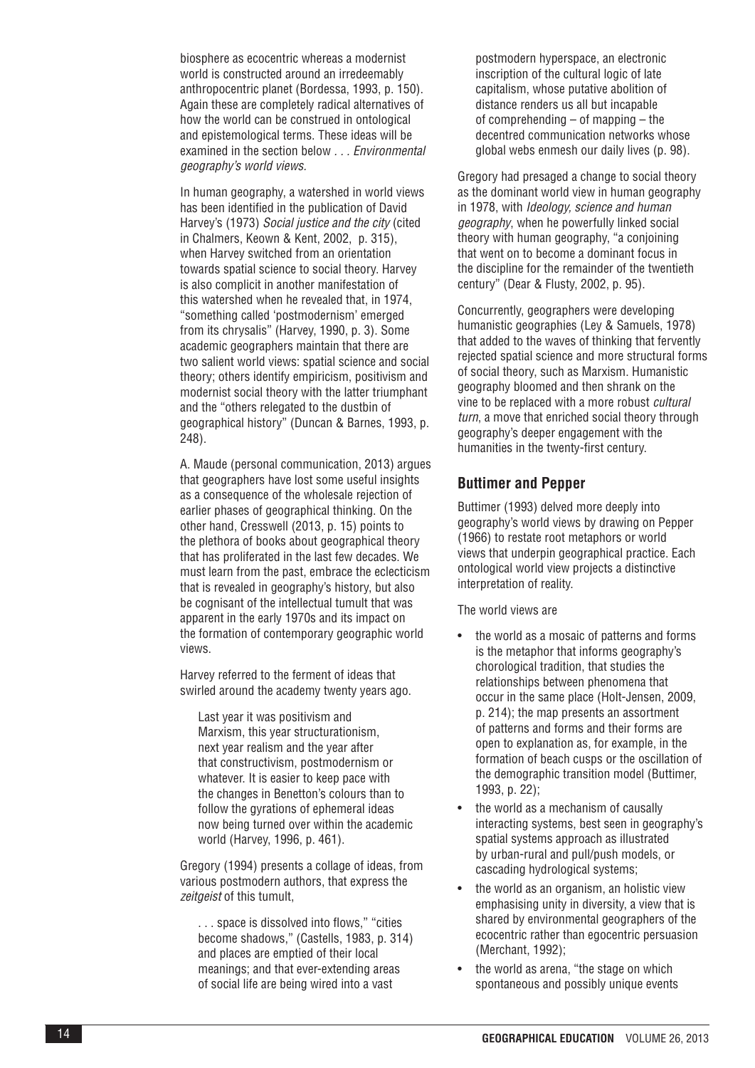biosphere as ecocentric whereas a modernist world is constructed around an irredeemably anthropocentric planet (Bordessa, 1993, p. 150). Again these are completely radical alternatives of how the world can be construed in ontological and epistemological terms. These ideas will be examined in the section below *. . . Environmental geography's world views .*

In human geography, a watershed in world views has been identified in the publication of David Harvey's (1973) *Social justice and the city* (cited in Chalmers, Keown & Kent, 2002, p. 315), when Harvey switched from an orientation towards spatial science to social theory. Harvey is also complicit in another manifestation of this watershed when he revealed that, in 1974, "something called 'postmodernism' emerged from its chrysalis" (Harvey, 1990, p. 3). Some academic geographers maintain that there are two salient world views: spatial science and social theory; others identify empiricism, positivism and modernist social theory with the latter triumphant and the "others relegated to the dustbin of geographical history" (Duncan & Barnes, 1993, p. 248).

A. Maude (personal communication, 2013) argues that geographers have lost some useful insights as a consequence of the wholesale rejection of earlier phases of geographical thinking. On the other hand, Cresswell (2013, p. 15) points to the plethora of books about geographical theory that has proliferated in the last few decades. We must learn from the past, embrace the eclecticism that is revealed in geography's history, but also be cognisant of the intellectual tumult that was apparent in the early 1970s and its impact on the formation of contemporary geographic world views.

Harvey referred to the ferment of ideas that swirled around the academy twenty years ago.

Last year it was positivism and Marxism, this year structurationism, next year realism and the year after that constructivism, postmodernism or whatever. It is easier to keep pace with the changes in Benetton's colours than to follow the gyrations of ephemeral ideas now being turned over within the academic world (Harvey, 1996, p. 461).

Gregory (1994) presents a collage of ideas, from various postmodern authors, that express the *zeitgeist* of this tumult,

. . . space is dissolved into flows," "cities become shadows," (Castells, 1983, p. 314) and places are emptied of their local meanings; and that ever-extending areas of social life are being wired into a vast

postmodern hyperspace, an electronic inscription of the cultural logic of late capitalism, whose putative abolition of distance renders us all but incapable of comprehending – of mapping – the decentred communication networks whose global webs enmesh our daily lives (p. 98).

Gregory had presaged a change to social theory as the dominant world view in human geography in 1978, with *Ideology, science and human geography*, when he powerfully linked social theory with human geography, "a conjoining that went on to become a dominant focus in the discipline for the remainder of the twentieth century" (Dear & Flusty, 2002, p. 95).

Concurrently, geographers were developing humanistic geographies (Ley & Samuels, 1978) that added to the waves of thinking that fervently rejected spatial science and more structural forms of social theory, such as Marxism. Humanistic geography bloomed and then shrank on the vine to be replaced with a more robust *cultural turn*, a move that enriched social theory through geography's deeper engagement with the humanities in the twenty-first century.

### **Buttimer and Pepper**

Buttimer (1993) delved more deeply into geography's world views by drawing on Pepper (1966) to restate root metaphors or world views that underpin geographical practice. Each ontological world view projects a distinctive interpretation of reality.

The world views are

- the world as a mosaic of patterns and forms is the metaphor that informs geography's chorological tradition, that studies the relationships between phenomena that occur in the same place (Holt-Jensen, 2009, p. 214); the map presents an assortment of patterns and forms and their forms are open to explanation as, for example, in the formation of beach cusps or the oscillation of the demographic transition model (Buttimer, 1993, p. 22);
- the world as a mechanism of causally interacting systems, best seen in geography's spatial systems approach as illustrated by urban-rural and pull/push models, or cascading hydrological systems;
- the world as an organism, an holistic view emphasising unity in diversity, a view that is shared by environmental geographers of the ecocentric rather than egocentric persuasion (Merchant, 1992);
- the world as arena, "the stage on which spontaneous and possibly unique events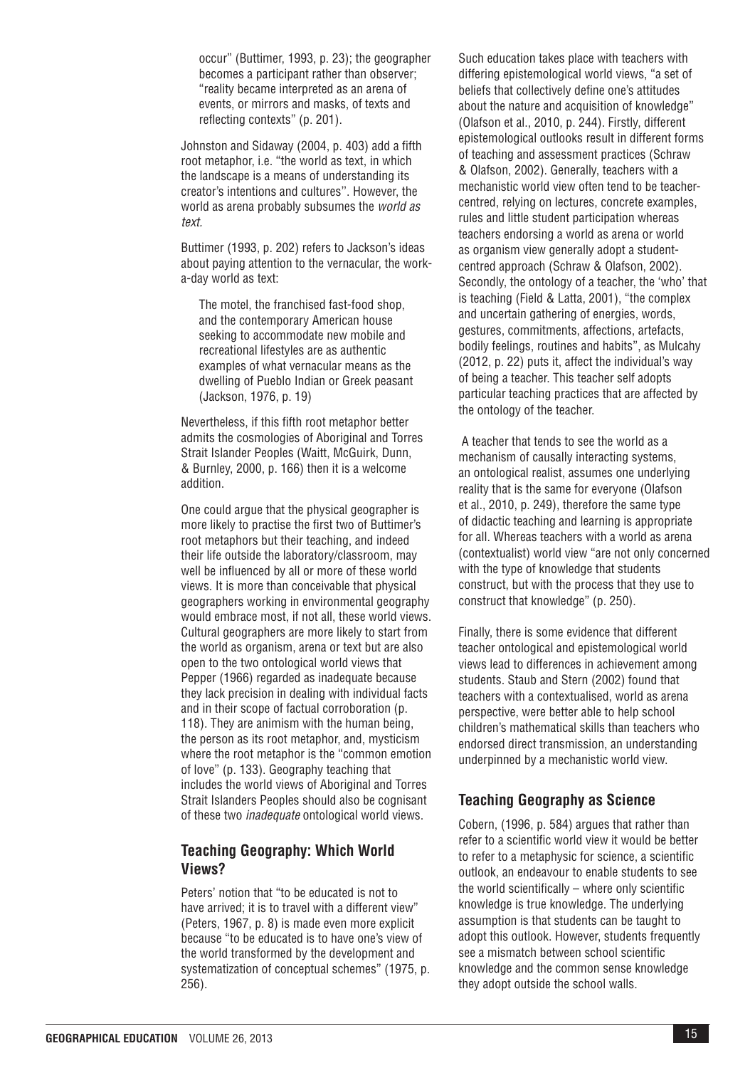occur" (Buttimer, 1993, p. 23); the geographer becomes a participant rather than observer; "reality became interpreted as an arena of events, or mirrors and masks, of texts and reflecting contexts" (p. 201).

Johnston and Sidaway (2004, p. 403) add a fifth root metaphor, i.e. "the world as text, in which the landscape is a means of understanding its creator's intentions and cultures''. However, the world as arena probably subsumes the *world as text.*

Buttimer (1993, p. 202) refers to Jackson's ideas about paying attention to the vernacular, the worka-day world as text:

The motel, the franchised fast-food shop, and the contemporary American house seeking to accommodate new mobile and recreational lifestyles are as authentic examples of what vernacular means as the dwelling of Pueblo Indian or Greek peasant (Jackson, 1976, p. 19)

Nevertheless, if this fifth root metaphor better admits the cosmologies of Aboriginal and Torres Strait Islander Peoples (Waitt, McGuirk, Dunn, & Burnley, 2000, p. 166) then it is a welcome addition.

One could argue that the physical geographer is more likely to practise the first two of Buttimer's root metaphors but their teaching, and indeed their life outside the laboratory/classroom, may well be influenced by all or more of these world views. It is more than conceivable that physical geographers working in environmental geography would embrace most, if not all, these world views. Cultural geographers are more likely to start from the world as organism, arena or text but are also open to the two ontological world views that Pepper (1966) regarded as inadequate because they lack precision in dealing with individual facts and in their scope of factual corroboration (p. 118). They are animism with the human being, the person as its root metaphor, and, mysticism where the root metaphor is the "common emotion of love" (p. 133). Geography teaching that includes the world views of Aboriginal and Torres Strait Islanders Peoples should also be cognisant of these two *inadequate* ontological world views.

### **Teaching Geography: Which World Views?**

Peters' notion that "to be educated is not to have arrived; it is to travel with a different view" (Peters, 1967, p. 8) is made even more explicit because "to be educated is to have one's view of the world transformed by the development and systematization of conceptual schemes" (1975, p. 256).

Such education takes place with teachers with differing epistemological world views, "a set of beliefs that collectively define one's attitudes about the nature and acquisition of knowledge" (Olafson et al., 2010, p. 244). Firstly, different epistemological outlooks result in different forms of teaching and assessment practices (Schraw & Olafson, 2002). Generally, teachers with a mechanistic world view often tend to be teachercentred, relying on lectures, concrete examples, rules and little student participation whereas teachers endorsing a world as arena or world as organism view generally adopt a studentcentred approach (Schraw & Olafson, 2002). Secondly, the ontology of a teacher, the 'who' that is teaching (Field & Latta, 2001), "the complex and uncertain gathering of energies, words, gestures, commitments, affections, artefacts, bodily feelings, routines and habits", as Mulcahy (2012, p. 22) puts it, affect the individual's way of being a teacher. This teacher self adopts particular teaching practices that are affected by the ontology of the teacher.

 A teacher that tends to see the world as a mechanism of causally interacting systems, an ontological realist, assumes one underlying reality that is the same for everyone (Olafson et al., 2010, p. 249), therefore the same type of didactic teaching and learning is appropriate for all. Whereas teachers with a world as arena (contextualist) world view "are not only concerned with the type of knowledge that students construct, but with the process that they use to construct that knowledge" (p. 250).

Finally, there is some evidence that different teacher ontological and epistemological world views lead to differences in achievement among students. Staub and Stern (2002) found that teachers with a contextualised, world as arena perspective, were better able to help school children's mathematical skills than teachers who endorsed direct transmission, an understanding underpinned by a mechanistic world view.

#### **Teaching Geography as Science**

Cobern, (1996, p. 584) argues that rather than refer to a scientific world view it would be better to refer to a metaphysic for science, a scientific outlook, an endeavour to enable students to see the world scientifically – where only scientific knowledge is true knowledge. The underlying assumption is that students can be taught to adopt this outlook. However, students frequently see a mismatch between school scientific knowledge and the common sense knowledge they adopt outside the school walls.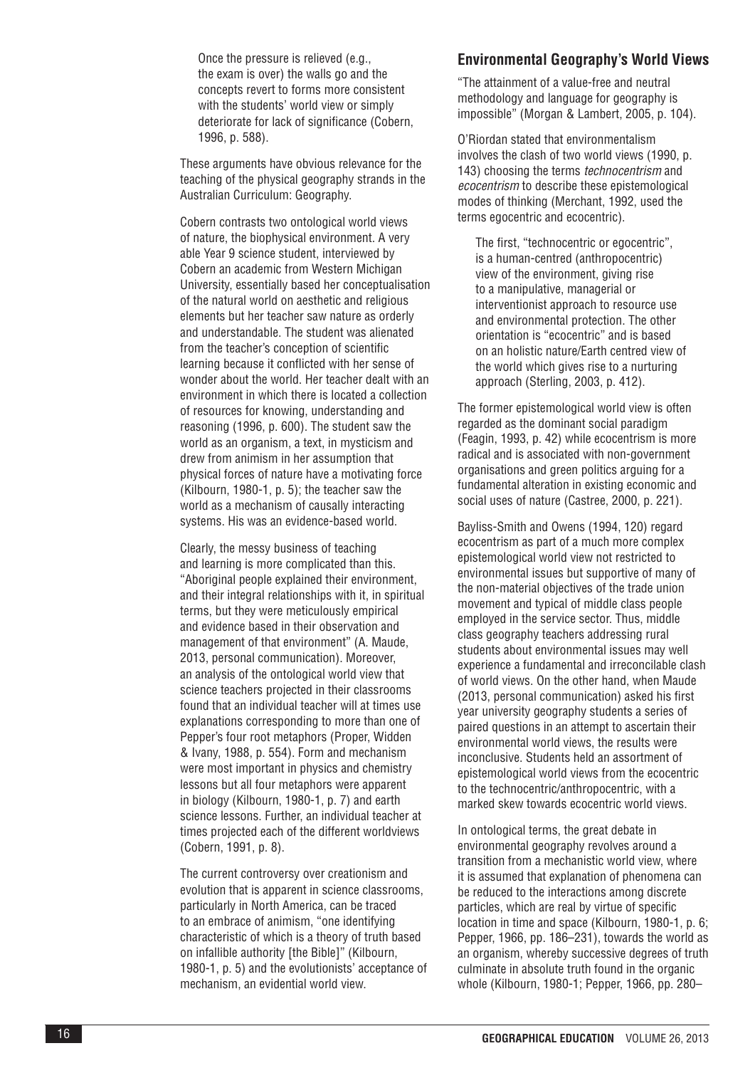Once the pressure is relieved (e.g., the exam is over) the walls go and the concepts revert to forms more consistent with the students' world view or simply deteriorate for lack of significance (Cobern, 1996, p. 588).

These arguments have obvious relevance for the teaching of the physical geography strands in the Australian Curriculum: Geography.

Cobern contrasts two ontological world views of nature, the biophysical environment. A very able Year 9 science student, interviewed by Cobern an academic from Western Michigan University, essentially based her conceptualisation of the natural world on aesthetic and religious elements but her teacher saw nature as orderly and understandable. The student was alienated from the teacher's conception of scientific learning because it conflicted with her sense of wonder about the world. Her teacher dealt with an environment in which there is located a collection of resources for knowing, understanding and reasoning (1996, p. 600). The student saw the world as an organism, a text, in mysticism and drew from animism in her assumption that physical forces of nature have a motivating force (Kilbourn, 1980-1, p. 5); the teacher saw the world as a mechanism of causally interacting systems. His was an evidence-based world.

Clearly, the messy business of teaching and learning is more complicated than this. "Aboriginal people explained their environment, and their integral relationships with it, in spiritual terms, but they were meticulously empirical and evidence based in their observation and management of that environment" (A. Maude, 2013, personal communication). Moreover, an analysis of the ontological world view that science teachers projected in their classrooms found that an individual teacher will at times use explanations corresponding to more than one of Pepper's four root metaphors (Proper, Widden & Ivany, 1988, p. 554). Form and mechanism were most important in physics and chemistry lessons but all four metaphors were apparent in biology (Kilbourn, 1980-1, p. 7) and earth science lessons. Further, an individual teacher at times projected each of the different worldviews (Cobern, 1991, p. 8).

The current controversy over creationism and evolution that is apparent in science classrooms, particularly in North America, can be traced to an embrace of animism, "one identifying characteristic of which is a theory of truth based on infallible authority [the Bible]" (Kilbourn, 1980-1, p. 5) and the evolutionists' acceptance of mechanism, an evidential world view.

#### **Environmental Geography's World Views**

"The attainment of a value-free and neutral methodology and language for geography is impossible" (Morgan & Lambert, 2005, p. 104).

O'Riordan stated that environmentalism involves the clash of two world views (1990, p. 143) choosing the terms *technocentrism* and *ecocentrism* to describe these epistemological modes of thinking (Merchant, 1992, used the terms egocentric and ecocentric).

The first, "technocentric or egocentric", is a human-centred (anthropocentric) view of the environment, giving rise to a manipulative, managerial or interventionist approach to resource use and environmental protection. The other orientation is "ecocentric" and is based on an holistic nature/Earth centred view of the world which gives rise to a nurturing approach (Sterling, 2003, p. 412).

The former epistemological world view is often regarded as the dominant social paradigm (Feagin, 1993, p. 42) while ecocentrism is more radical and is associated with non-government organisations and green politics arguing for a fundamental alteration in existing economic and social uses of nature (Castree, 2000, p. 221).

Bayliss-Smith and Owens (1994, 120) regard ecocentrism as part of a much more complex epistemological world view not restricted to environmental issues but supportive of many of the non-material objectives of the trade union movement and typical of middle class people employed in the service sector. Thus, middle class geography teachers addressing rural students about environmental issues may well experience a fundamental and irreconcilable clash of world views. On the other hand, when Maude (2013, personal communication) asked his first year university geography students a series of paired questions in an attempt to ascertain their environmental world views, the results were inconclusive. Students held an assortment of epistemological world views from the ecocentric to the technocentric/anthropocentric, with a marked skew towards ecocentric world views.

In ontological terms, the great debate in environmental geography revolves around a transition from a mechanistic world view, where it is assumed that explanation of phenomena can be reduced to the interactions among discrete particles, which are real by virtue of specific location in time and space (Kilbourn, 1980-1, p. 6; Pepper, 1966, pp. 186–231), towards the world as an organism, whereby successive degrees of truth culminate in absolute truth found in the organic whole (Kilbourn, 1980-1; Pepper, 1966, pp. 280–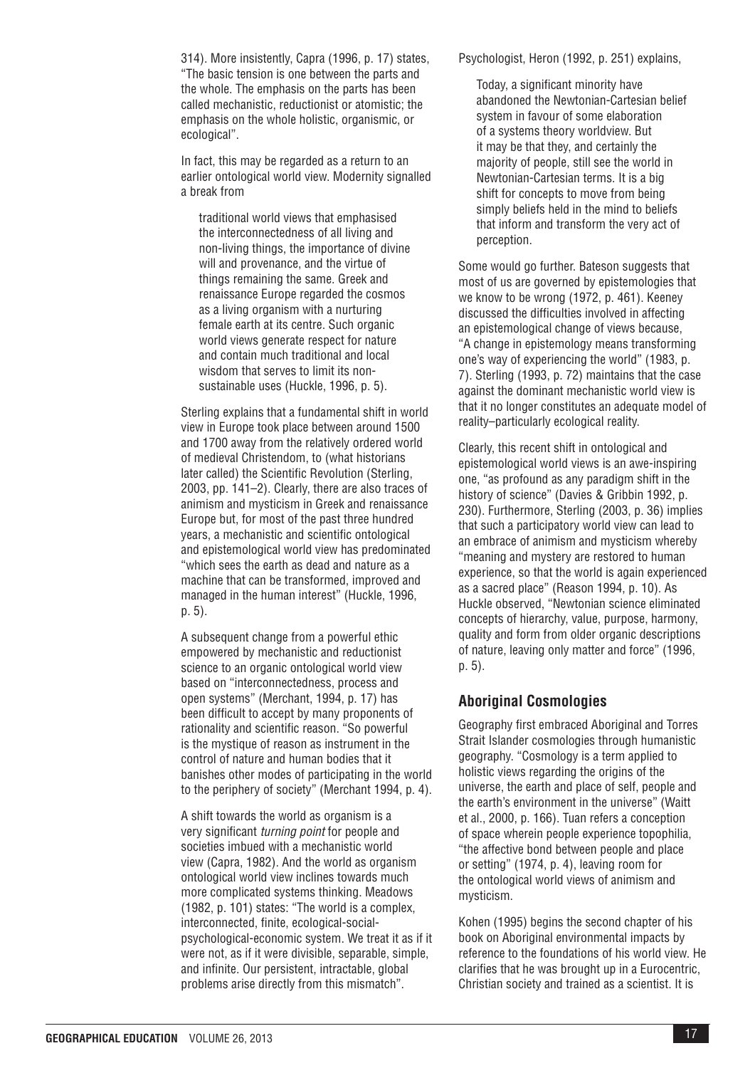314). More insistently, Capra (1996, p. 17) states, "The basic tension is one between the parts and the whole. The emphasis on the parts has been called mechanistic, reductionist or atomistic; the emphasis on the whole holistic, organismic, or ecological".

In fact, this may be regarded as a return to an earlier ontological world view. Modernity signalled a break from

traditional world views that emphasised the interconnectedness of all living and non-living things, the importance of divine will and provenance, and the virtue of things remaining the same. Greek and renaissance Europe regarded the cosmos as a living organism with a nurturing female earth at its centre. Such organic world views generate respect for nature and contain much traditional and local wisdom that serves to limit its nonsustainable uses (Huckle, 1996, p. 5).

Sterling explains that a fundamental shift in world view in Europe took place between around 1500 and 1700 away from the relatively ordered world of medieval Christendom, to (what historians later called) the Scientific Revolution (Sterling, 2003, pp. 141–2). Clearly, there are also traces of animism and mysticism in Greek and renaissance Europe but, for most of the past three hundred years, a mechanistic and scientific ontological and epistemological world view has predominated "which sees the earth as dead and nature as a machine that can be transformed, improved and managed in the human interest" (Huckle, 1996, p. 5).

A subsequent change from a powerful ethic empowered by mechanistic and reductionist science to an organic ontological world view based on "interconnectedness, process and open systems" (Merchant, 1994, p. 17) has been difficult to accept by many proponents of rationality and scientific reason. "So powerful is the mystique of reason as instrument in the control of nature and human bodies that it banishes other modes of participating in the world to the periphery of society" (Merchant 1994, p. 4).

A shift towards the world as organism is a very significant *turning point* for people and societies imbued with a mechanistic world view (Capra, 1982). And the world as organism ontological world view inclines towards much more complicated systems thinking. Meadows (1982, p. 101) states: "The world is a complex, interconnected, finite, ecological-socialpsychological-economic system. We treat it as if it were not, as if it were divisible, separable, simple, and infinite. Our persistent, intractable, global problems arise directly from this mismatch".

Psychologist, Heron (1992, p. 251) explains,

Today, a significant minority have abandoned the Newtonian-Cartesian belief system in favour of some elaboration of a systems theory worldview. But it may be that they, and certainly the majority of people, still see the world in Newtonian-Cartesian terms. It is a big shift for concepts to move from being simply beliefs held in the mind to beliefs that inform and transform the very act of perception.

Some would go further. Bateson suggests that most of us are governed by epistemologies that we know to be wrong (1972, p. 461). Keeney discussed the difficulties involved in affecting an epistemological change of views because, "A change in epistemology means transforming one's way of experiencing the world" (1983, p. 7). Sterling (1993, p. 72) maintains that the case against the dominant mechanistic world view is that it no longer constitutes an adequate model of reality–particularly ecological reality.

Clearly, this recent shift in ontological and epistemological world views is an awe-inspiring one, "as profound as any paradigm shift in the history of science" (Davies & Gribbin 1992, p. 230). Furthermore, Sterling (2003, p. 36) implies that such a participatory world view can lead to an embrace of animism and mysticism whereby "meaning and mystery are restored to human experience, so that the world is again experienced as a sacred place" (Reason 1994, p. 10). As Huckle observed, "Newtonian science eliminated concepts of hierarchy, value, purpose, harmony, quality and form from older organic descriptions of nature, leaving only matter and force" (1996, p. 5).

## **Aboriginal Cosmologies**

Geography first embraced Aboriginal and Torres Strait Islander cosmologies through humanistic geography. "Cosmology is a term applied to holistic views regarding the origins of the universe, the earth and place of self, people and the earth's environment in the universe" (Waitt et al., 2000, p. 166). Tuan refers a conception of space wherein people experience topophilia, "the affective bond between people and place or setting" (1974, p. 4), leaving room for the ontological world views of animism and mysticism.

Kohen (1995) begins the second chapter of his book on Aboriginal environmental impacts by reference to the foundations of his world view. He clarifies that he was brought up in a Eurocentric, Christian society and trained as a scientist. It is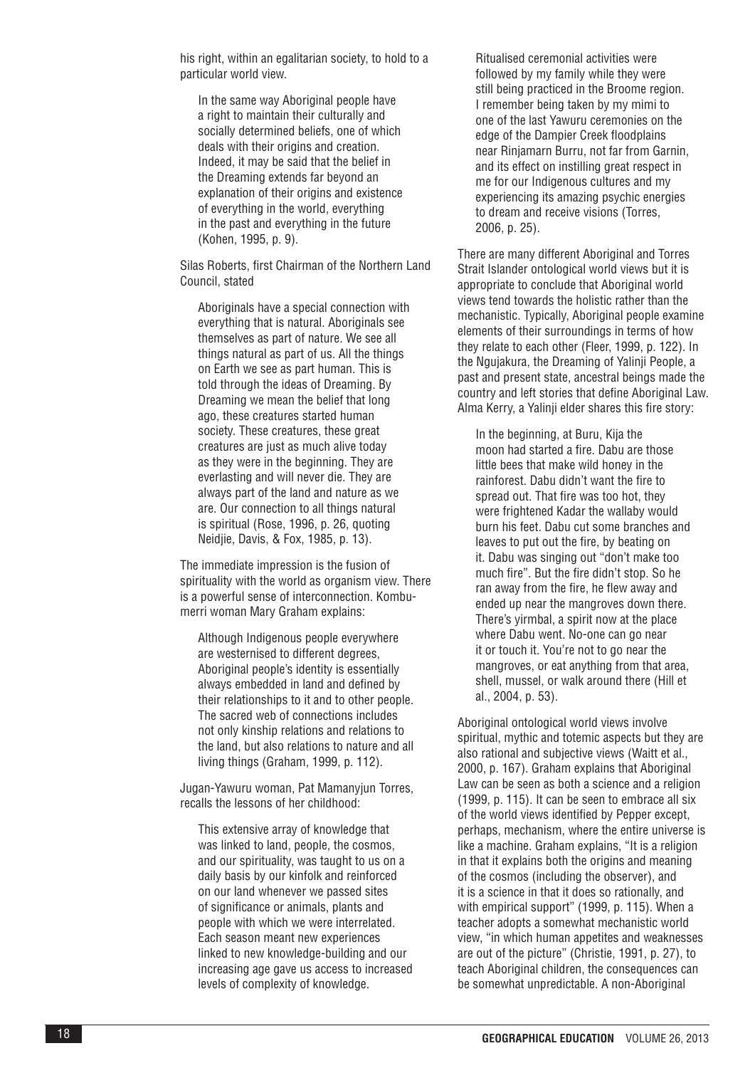his right, within an egalitarian society, to hold to a particular world view.

In the same way Aboriginal people have a right to maintain their culturally and socially determined beliefs, one of which deals with their origins and creation. Indeed, it may be said that the belief in the Dreaming extends far beyond an explanation of their origins and existence of everything in the world, everything in the past and everything in the future (Kohen, 1995, p. 9).

Silas Roberts, first Chairman of the Northern Land Council, stated

Aboriginals have a special connection with everything that is natural. Aboriginals see themselves as part of nature. We see all things natural as part of us. All the things on Earth we see as part human. This is told through the ideas of Dreaming. By Dreaming we mean the belief that long ago, these creatures started human society. These creatures, these great creatures are just as much alive today as they were in the beginning. They are everlasting and will never die. They are always part of the land and nature as we are. Our connection to all things natural is spiritual (Rose, 1996, p. 26, quoting Neidjie, Davis, & Fox, 1985, p. 13).

The immediate impression is the fusion of spirituality with the world as organism view. There is a powerful sense of interconnection. Kombumerri woman Mary Graham explains:

Although Indigenous people everywhere are westernised to different degrees, Aboriginal people's identity is essentially always embedded in land and defined by their relationships to it and to other people. The sacred web of connections includes not only kinship relations and relations to the land, but also relations to nature and all living things (Graham, 1999, p. 112).

Jugan-Yawuru woman, Pat Mamanyjun Torres, recalls the lessons of her childhood:

This extensive array of knowledge that was linked to land, people, the cosmos, and our spirituality, was taught to us on a daily basis by our kinfolk and reinforced on our land whenever we passed sites of significance or animals, plants and people with which we were interrelated. Each season meant new experiences linked to new knowledge-building and our increasing age gave us access to increased levels of complexity of knowledge.

Ritualised ceremonial activities were followed by my family while they were still being practiced in the Broome region. I remember being taken by my mimi to one of the last Yawuru ceremonies on the edge of the Dampier Creek floodplains near Rinjamarn Burru, not far from Garnin, and its effect on instilling great respect in me for our Indigenous cultures and my experiencing its amazing psychic energies to dream and receive visions (Torres, 2006, p. 25).

There are many different Aboriginal and Torres Strait Islander ontological world views but it is appropriate to conclude that Aboriginal world views tend towards the holistic rather than the mechanistic. Typically, Aboriginal people examine elements of their surroundings in terms of how they relate to each other (Fleer, 1999, p. 122). In the Ngujakura, the Dreaming of Yalinji People, a past and present state, ancestral beings made the country and left stories that define Aboriginal Law. Alma Kerry, a Yalinji elder shares this fire story:

In the beginning, at Buru, Kija the moon had started a fire. Dabu are those little bees that make wild honey in the rainforest. Dabu didn't want the fire to spread out. That fire was too hot, they were frightened Kadar the wallaby would burn his feet. Dabu cut some branches and leaves to put out the fire, by beating on it. Dabu was singing out "don't make too much fire". But the fire didn't stop. So he ran away from the fire, he flew away and ended up near the mangroves down there. There's yirmbal, a spirit now at the place where Dabu went. No-one can go near it or touch it. You're not to go near the mangroves, or eat anything from that area, shell, mussel, or walk around there (Hill et al., 2004, p. 53).

Aboriginal ontological world views involve spiritual, mythic and totemic aspects but they are also rational and subjective views (Waitt et al., 2000, p. 167). Graham explains that Aboriginal Law can be seen as both a science and a religion (1999, p. 115). It can be seen to embrace all six of the world views identified by Pepper except, perhaps, mechanism, where the entire universe is like a machine. Graham explains, "It is a religion in that it explains both the origins and meaning of the cosmos (including the observer), and it is a science in that it does so rationally, and with empirical support" (1999, p. 115). When a teacher adopts a somewhat mechanistic world view, "in which human appetites and weaknesses are out of the picture" (Christie, 1991, p. 27), to teach Aboriginal children, the consequences can be somewhat unpredictable. A non-Aboriginal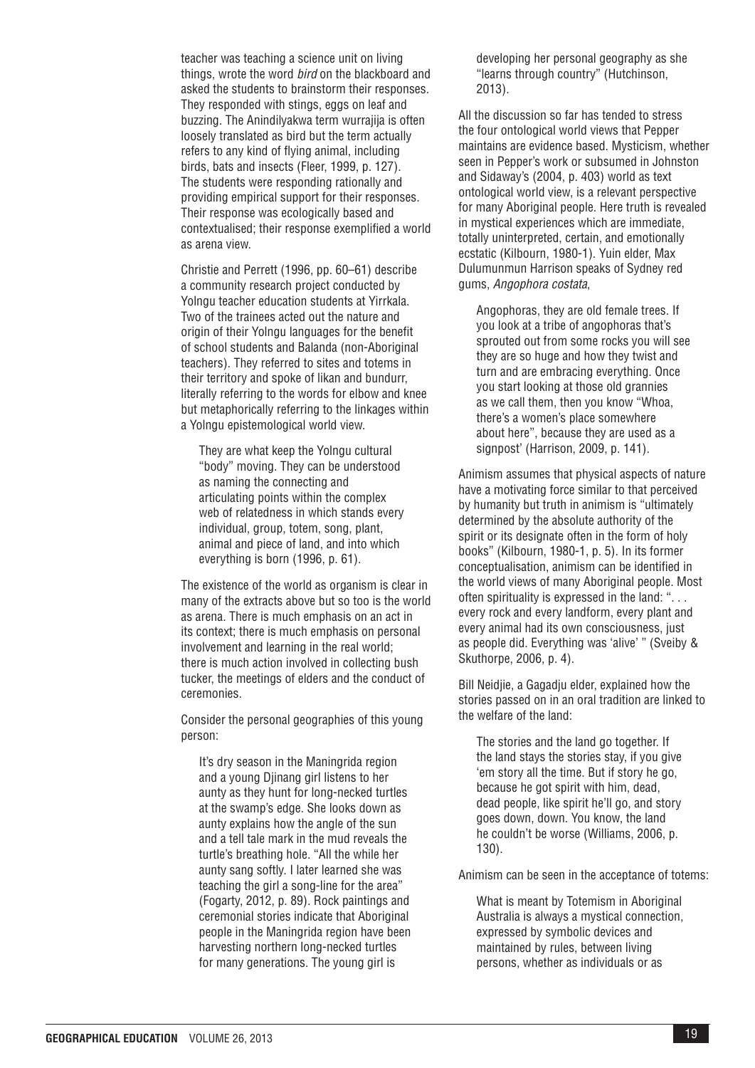teacher was teaching a science unit on living things, wrote the word *bird* on the blackboard and asked the students to brainstorm their responses. They responded with stings, eggs on leaf and buzzing. The Anindilyakwa term wurrajija is often loosely translated as bird but the term actually refers to any kind of flying animal, including birds, bats and insects (Fleer, 1999, p. 127). The students were responding rationally and providing empirical support for their responses. Their response was ecologically based and contextualised; their response exemplified a world as arena view.

Christie and Perrett (1996, pp. 60–61) describe a community research project conducted by Yolngu teacher education students at Yirrkala. Two of the trainees acted out the nature and origin of their Yolngu languages for the benefit of school students and Balanda (non-Aboriginal teachers). They referred to sites and totems in their territory and spoke of likan and bundurr, literally referring to the words for elbow and knee but metaphorically referring to the linkages within a Yolngu epistemological world view.

They are what keep the Yolngu cultural "body" moving. They can be understood as naming the connecting and articulating points within the complex web of relatedness in which stands every individual, group, totem, song, plant, animal and piece of land, and into which everything is born (1996, p. 61).

The existence of the world as organism is clear in many of the extracts above but so too is the world as arena. There is much emphasis on an act in its context; there is much emphasis on personal involvement and learning in the real world; there is much action involved in collecting bush tucker, the meetings of elders and the conduct of ceremonies.

Consider the personal geographies of this young person:

It's dry season in the Maningrida region and a young Djinang girl listens to her aunty as they hunt for long-necked turtles at the swamp's edge. She looks down as aunty explains how the angle of the sun and a tell tale mark in the mud reveals the turtle's breathing hole. "All the while her aunty sang softly. I later learned she was teaching the girl a song-line for the area" (Fogarty, 2012, p. 89). Rock paintings and ceremonial stories indicate that Aboriginal people in the Maningrida region have been harvesting northern long-necked turtles for many generations. The young girl is

developing her personal geography as she "learns through country" (Hutchinson, 2013).

All the discussion so far has tended to stress the four ontological world views that Pepper maintains are evidence based. Mysticism, whether seen in Pepper's work or subsumed in Johnston and Sidaway's (2004, p. 403) world as text ontological world view, is a relevant perspective for many Aboriginal people. Here truth is revealed in mystical experiences which are immediate, totally uninterpreted, certain, and emotionally ecstatic (Kilbourn, 1980-1). Yuin elder, Max Dulumunmun Harrison speaks of Sydney red gums, *Angophora costata*,

Angophoras, they are old female trees. If you look at a tribe of angophoras that's sprouted out from some rocks you will see they are so huge and how they twist and turn and are embracing everything. Once you start looking at those old grannies as we call them, then you know "Whoa, there's a women's place somewhere about here", because they are used as a signpost' (Harrison, 2009, p. 141).

Animism assumes that physical aspects of nature have a motivating force similar to that perceived by humanity but truth in animism is "ultimately determined by the absolute authority of the spirit or its designate often in the form of holy books" (Kilbourn, 1980-1, p. 5). In its former conceptualisation, animism can be identified in the world views of many Aboriginal people. Most often spirituality is expressed in the land: ". . . every rock and every landform, every plant and every animal had its own consciousness, just as people did. Everything was 'alive' " (Sveiby & Skuthorpe, 2006, p. 4).

Bill Neidjie, a Gagadju elder, explained how the stories passed on in an oral tradition are linked to the welfare of the land:

The stories and the land go together. If the land stays the stories stay, if you give 'em story all the time. But if story he go, because he got spirit with him, dead, dead people, like spirit he'll go, and story goes down, down. You know, the land he couldn't be worse (Williams, 2006, p. 130).

Animism can be seen in the acceptance of totems:

What is meant by Totemism in Aboriginal Australia is always a mystical connection, expressed by symbolic devices and maintained by rules, between living persons, whether as individuals or as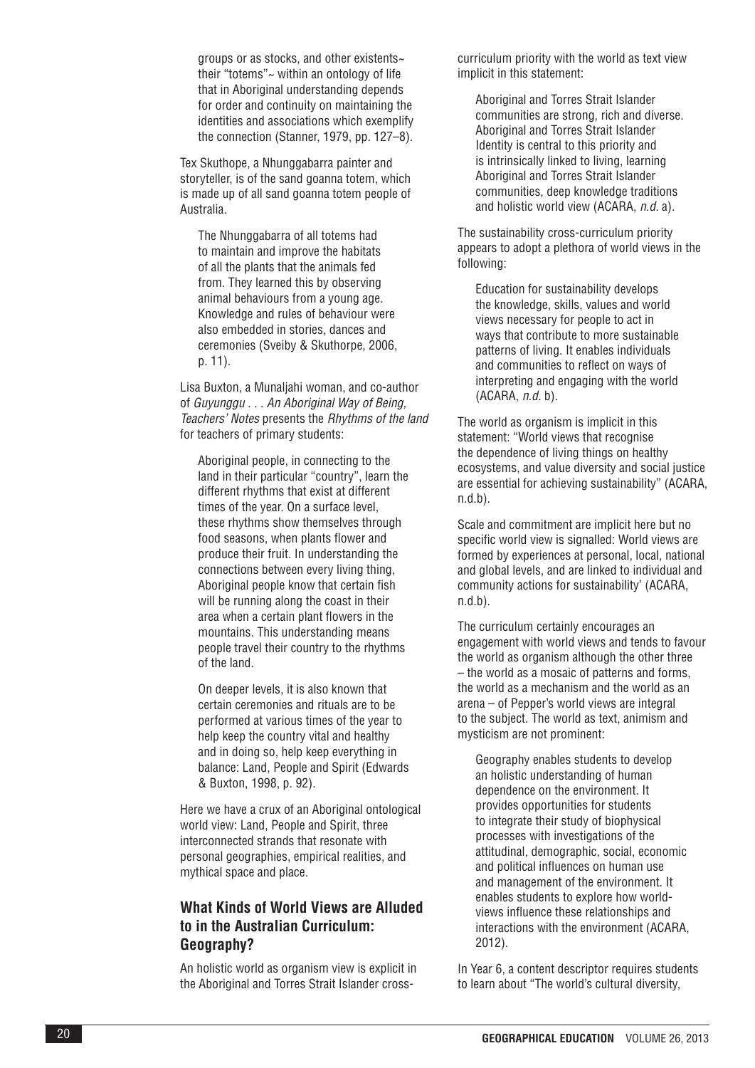groups or as stocks, and other existents~ their "totems"~ within an ontology of life that in Aboriginal understanding depends for order and continuity on maintaining the identities and associations which exemplify the connection (Stanner, 1979, pp. 127–8).

Tex Skuthope, a Nhunggabarra painter and storyteller, is of the sand goanna totem, which is made up of all sand goanna totem people of Australia.

The Nhunggabarra of all totems had to maintain and improve the habitats of all the plants that the animals fed from. They learned this by observing animal behaviours from a young age. Knowledge and rules of behaviour were also embedded in stories, dances and ceremonies (Sveiby & Skuthorpe, 2006, p. 11).

Lisa Buxton, a Munaljahi woman, and co-author of *Guyunggu . . . An Aboriginal Way of Being, Teachers' Notes* presents the *Rhythms of the land* for teachers of primary students:

Aboriginal people, in connecting to the land in their particular "country", learn the different rhythms that exist at different times of the year. On a surface level, these rhythms show themselves through food seasons, when plants flower and produce their fruit. In understanding the connections between every living thing, Aboriginal people know that certain fish will be running along the coast in their area when a certain plant flowers in the mountains. This understanding means people travel their country to the rhythms of the land.

On deeper levels, it is also known that certain ceremonies and rituals are to be performed at various times of the year to help keep the country vital and healthy and in doing so, help keep everything in balance: Land, People and Spirit (Edwards & Buxton, 1998, p. 92).

Here we have a crux of an Aboriginal ontological world view: Land, People and Spirit, three interconnected strands that resonate with personal geographies, empirical realities, and mythical space and place.

## **What Kinds of World Views are Alluded to in the Australian Curriculum: Geography?**

An holistic world as organism view is explicit in the Aboriginal and Torres Strait Islander crosscurriculum priority with the world as text view implicit in this statement:

Aboriginal and Torres Strait Islander communities are strong, rich and diverse. Aboriginal and Torres Strait Islander Identity is central to this priority and is intrinsically linked to living, learning Aboriginal and Torres Strait Islander communities, deep knowledge traditions and holistic world view (ACARA, *n . d.* a).

The sustainability cross-curriculum priority appears to adopt a plethora of world views in the following:

Education for sustainability develops the knowledge, skills, values and world views necessary for people to act in ways that contribute to more sustainable patterns of living. It enables individuals and communities to reflect on ways of interpreting and engaging with the world (ACARA, *n . d.* b).

The world as organism is implicit in this statement: "World views that recognise the dependence of living things on healthy ecosystems, and value diversity and social justice are essential for achieving sustainability" (ACARA,  $n.d.b$ ).

Scale and commitment are implicit here but no specific world view is signalled: World views are formed by experiences at personal, local, national and global levels, and are linked to individual and community actions for sustainability' (ACARA, n.d.b).

The curriculum certainly encourages an engagement with world views and tends to favour the world as organism although the other three – the world as a mosaic of patterns and forms, the world as a mechanism and the world as an arena – of Pepper's world views are integral to the subject. The world as text, animism and mysticism are not prominent:

Geography enables students to develop an holistic understanding of human dependence on the environment. It provides opportunities for students to integrate their study of biophysical processes with investigations of the attitudinal, demographic, social, economic and political influences on human use and management of the environment. It enables students to explore how worldviews influence these relationships and interactions with the environment (ACARA, 2012).

In Year 6, a content descriptor requires students to learn about "The world's cultural diversity,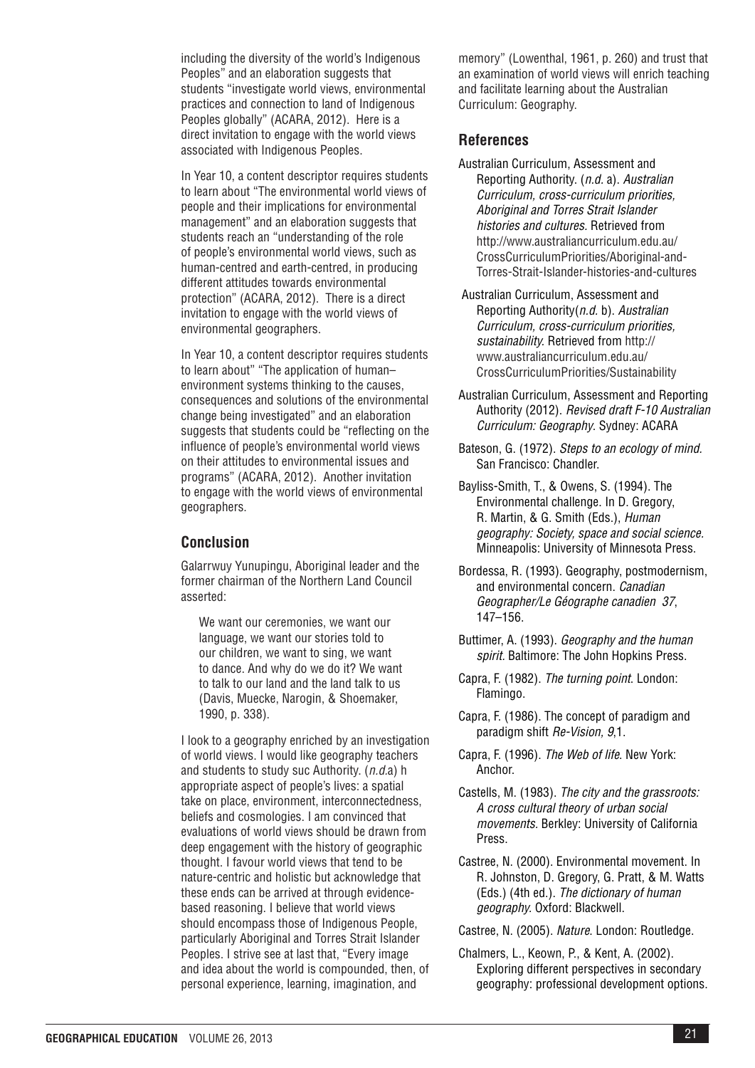including the diversity of the world's Indigenous Peoples" and an elaboration suggests that students "investigate world views, environmental practices and connection to land of Indigenous Peoples globally" (ACARA, 2012). Here is a direct invitation to engage with the world views associated with Indigenous Peoples.

In Year 10, a content descriptor requires students to learn about "The environmental world views of people and their implications for environmental management" and an elaboration suggests that students reach an "understanding of the role of people's environmental world views, such as human-centred and earth-centred, in producing different attitudes towards environmental protection" (ACARA, 2012). There is a direct invitation to engage with the world views of environmental geographers.

In Year 10, a content descriptor requires students to learn about" "The application of human– environment systems thinking to the causes, consequences and solutions of the environmental change being investigated" and an elaboration suggests that students could be "reflecting on the influence of people's environmental world views on their attitudes to environmental issues and programs" (ACARA, 2012). Another invitation to engage with the world views of environmental geographers.

### **Conclusion**

Galarrwuy Yunupingu, Aboriginal leader and the former chairman of the Northern Land Council asserted:

We want our ceremonies, we want our language, we want our stories told to our children, we want to sing, we want to dance. And why do we do it? We want to talk to our land and the land talk to us (Davis, Muecke, Narogin, & Shoemaker, 1990, p. 338).

I look to a geography enriched by an investigation of world views. I would like geography teachers and students to study suc Authority. (*n.d.*a) h appropriate aspect of people's lives: a spatial take on place, environment, interconnectedness, beliefs and cosmologies. I am convinced that evaluations of world views should be drawn from deep engagement with the history of geographic thought. I favour world views that tend to be nature-centric and holistic but acknowledge that these ends can be arrived at through evidencebased reasoning. I believe that world views should encompass those of Indigenous People, particularly Aboriginal and Torres Strait Islander Peoples. I strive see at last that, "Every image and idea about the world is compounded, then, of personal experience, learning, imagination, and

memory" (Lowenthal, 1961, p. 260) and trust that an examination of world views will enrich teaching and facilitate learning about the Australian Curriculum: Geography.

#### **References**

- Australian Curriculum, Assessment and Reporting Authority. (*n.d.* a). *Australian Curriculum, cross-curriculum priorities, Aboriginal and Torres Strait Islander histories and cultures.* Retrieved from http://www.australiancurriculum.edu.au/ CrossCurriculumPriorities/Aboriginal-and-Torres-Strait-Islander-histories-and-cultures
- Australian Curriculum, Assessment and Reporting Authority(*n.d.* b). *Australian Curriculum, cross-curriculum priorities, sustainability.* Retrieved from http:// www.australiancurriculum.edu.au/ CrossCurriculumPriorities/Sustainability
- Australian Curriculum, Assessment and Reporting Authority (2012). *Revised draft F-10 Australian Curriculum: Geography*. Sydney: ACARA
- Bateson, G. (1972). *Steps to an ecology of mind.* San Francisco: Chandler.
- Bayliss-Smith, T., & Owens, S. (1994). The Environmental challenge. In D. Gregory, R. Martin, & G. Smith (Eds.), *Human geography: Society, space and social science.* Minneapolis: University of Minnesota Press.
- Bordessa, R. (1993). Geography, postmodernism, and environmental concern. *Canadian Geographer/Le Géographe canadien 37*, 147–156.
- Buttimer, A. (1993). *Geography and the human spirit.* Baltimore: The John Hopkins Press.
- Capra, F. (1982). *The turning point*. London: Flamingo.
- Capra, F. (1986). The concept of paradigm and paradigm shift *Re-Vision, 9*,1.
- Capra, F. (1996). *The Web of life*. New York: Anchor.
- Castells, M. (1983). *The city and the grassroots: A cross cultural theory of urban social movements.* Berkley: University of California Press.
- Castree, N. (2000). Environmental movement. In R. Johnston, D. Gregory, G. Pratt, & M. Watts (Eds.) (4th ed.). *The dictionary of human geography.* Oxford: Blackwell.
- Castree, N. (2005). *Nature*. London: Routledge.
- Chalmers, L., Keown, P., & Kent, A. (2002). Exploring different perspectives in secondary geography: professional development options.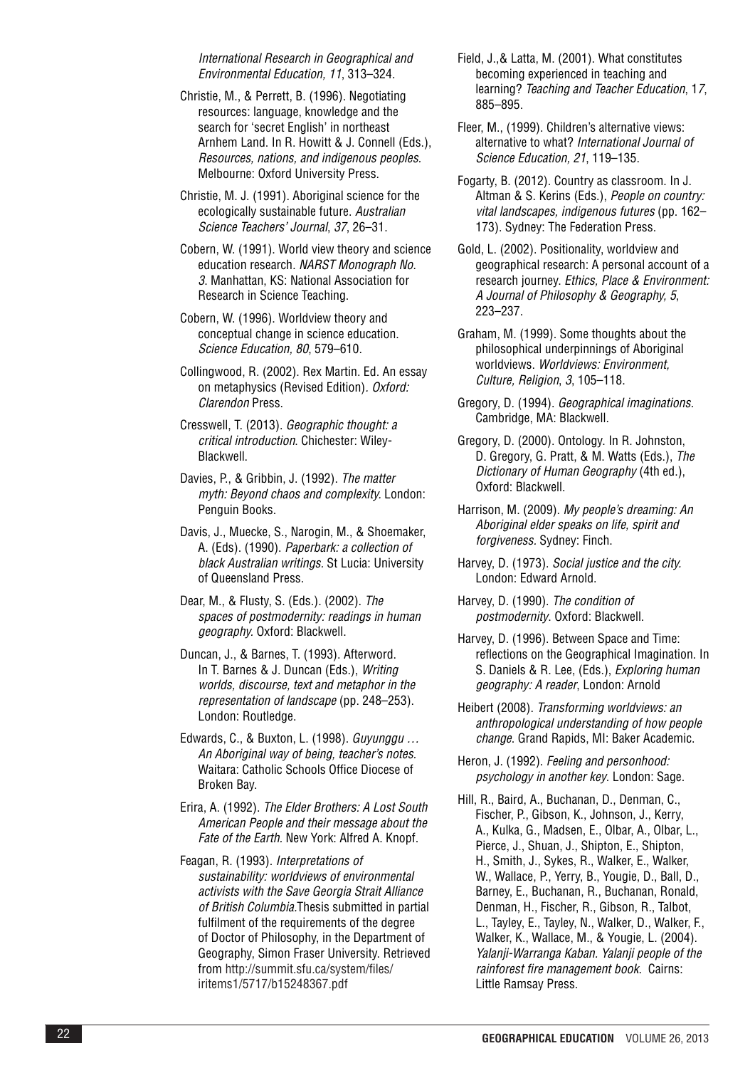*International Research in Geographical and Environmental Education, 11*, 313–324.

Christie, M., & Perrett, B. (1996). Negotiating resources: language, knowledge and the search for 'secret English' in northeast Arnhem Land. In R. Howitt & J. Connell (Eds.), *Resources, nations, and indigenous peoples .* Melbourne: Oxford University Press.

Christie, M. J. (1991). Aboriginal science for the ecologically sustainable future. *Australian Science Teachers' Journal*, *37*, 26–31.

Cobern, W. (1991). World view theory and science education research *. NARST Monograph No . 3*. Manhattan, KS: National Association for Research in Science Teaching.

- Cobern, W. (1996). Worldview theory and conceptual change in science education. *Science Education, 80*, 579–610.
- Collingwood, R. (2002). Rex Martin. Ed. An essay on metaphysics (Revised Edition) *. Oxford: Clarendon* Press.
- Cresswell, T. (2013). *Geographic thought: a critical introduction* . Chichester: Wiley-Blackwell.
- Davies, P., & Gribbin, J. (1992). *The matter myth: Beyond chaos and complexity.* London: Penguin Books.
- Davis, J., Muecke, S., Narogin, M., & Shoemaker, A. (Eds). (1990). *Paperbark: a collection of black Australian writings .* St Lucia: University of Queensland Press.
- Dear, M., & Flusty, S. (Eds.). (2002). *The spaces of postmodernity: readings in human geography.* Oxford: Blackwell.
- Duncan, J., & Barnes, T. (1993). Afterword. In T. Barnes & J. Duncan (Eds.), *Writing worlds, discourse, text and metaphor in the representation of landscape* (pp. 248–253). London: Routledge.
- Edwards, C., & Buxton, L. (1998). *Guyunggu … An Aboriginal way of being, teacher's notes .* Waitara: Catholic Schools Office Diocese of Broken Bay.
- Erira, A. (1992). *The Elder Brothers: A Lost South American People and their message about the*  Fate of the Earth. New York: Alfred A. Knopf.
- Feagan, R. (1993). *Interpretations of sustainability: worldviews of environmental activists with the Save Georgia Strait Alliance of British Columbia .*Thesis submitted in partial fulfilment of the requirements of the degree of Doctor of Philosophy, in the Department of Geography, Simon Fraser University. Retrieved from http://summit.sfu.ca/system/files/ iritems1/5717/b15248367.pdf
- Field, J.,& Latta, M. (2001). What constitutes becoming experienced in teaching and learning? *Teaching and Teacher Education*, 1 *7*, 885–895.
- Fleer, M., (1999). Children's alternative views: alternative to what? *International Journal of Science Education, 21*, 119–135.
- Fogarty, B. (2012). Country as classroom. In J. Altman & S. Kerins (Eds.), *People on country: vital landscapes, indigenous futures* (pp. 162– 173). Sydney: The Federation Press.
- Gold, L. (2002). Positionality, worldview and geographical research: A personal account of a research journey. *Ethics, Place & Environment: A Journal of Philosophy & Geography, 5*, 223–237.
- Graham, M. (1999). Some thoughts about the philosophical underpinnings of Aboriginal worldviews. *Worldviews: Environment, Culture, Religion* , *3*, 105–118.
- Gregory, D. (1994). *Geographical imaginations .* Cambridge, MA: Blackwell.
- Gregory, D. (2000). Ontology. In R. Johnston, D. Gregory, G. Pratt, & M. Watts (Eds.), *The Dictionary of Human Geography* (4th ed.), Oxford: Blackwell.
- Harrison, M. (2009). *My people's dreaming: An Aboriginal elder speaks on life, spirit and forgiveness .* Sydney: Finch.
- Harvey, D. (1973). *Social justice and the city.* London: Edward Arnold.
- Harvey, D. (1990). *The condition of postmodernity*. Oxford: Blackwell.
- Harvey, D. (1996). Between Space and Time: reflections on the Geographical Imagination. In S. Daniels & R. Lee, (Eds.), *Exploring human geography: A reader*, London: Arnold
- Heibert (2008). *Transforming worldviews: an anthropological understanding of how people change* . Grand Rapids, MI: Baker Academic.
- Heron, J. (1992). *Feeling and personhood: psychology in another key*. London: Sage.
- Hill, R., Baird, A., Buchanan, D., Denman, C., Fischer, P., Gibson, K., Johnson, J., Kerry, A., Kulka, G., Madsen, E., Olbar, A., Olbar, L., Pierce, J., Shuan, J., Shipton, E., Shipton, H., Smith, J., Sykes, R., Walker, E., Walker, W., Wallace, P., Yerry, B., Yougie, D., Ball, D., Barney, E., Buchanan, R., Buchanan, Ronald, Denman, H., Fischer, R., Gibson, R., Talbot, L., Tayley, E., Tayley, N., Walker, D., Walker, F., Walker, K., Wallace, M., & Yougie, L. (2004). *Yalanji-Warranga Kaban . Yalanji people of the rainforest fire management book*. Cairns: Little Ramsay Press.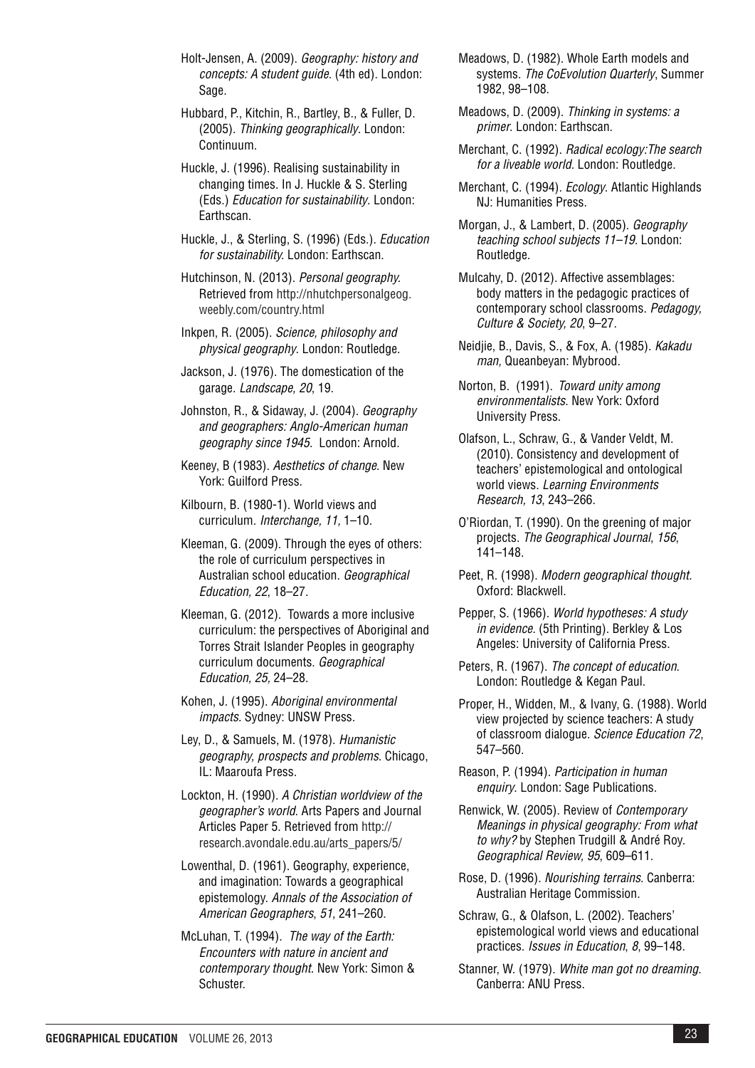Holt-Jensen, A. (2009). *Geography: history and concepts: A student guide*. (4th ed). London: Sage.

Hubbard, P., Kitchin, R., Bartley, B., & Fuller, D. (2005). *Thinking geographically*. London: Continuum.

Huckle, J. (1996). Realising sustainability in changing times. In J. Huckle & S. Sterling (Eds.) *Education for sustainability*. London: Earthscan.

Huckle, J., & Sterling, S. (1996) (Eds.). *Education for sustainability.* London: Earthscan.

Hutchinson, N. (2013). *Personal geography.* Retrieved from http://nhutchpersonalgeog. weebly.com/country.html

Inkpen, R. (2005). *Science, philosophy and physical geography*. London: Routledge.

Jackson, J. (1976). The domestication of the garage. *Landscape, 20*, 19.

Johnston, R., & Sidaway, J. (2004). *Geography and geographers: Anglo-American human geography since 1945*. London: Arnold.

Keeney, B (1983). *Aesthetics of change*. New York: Guilford Press.

Kilbourn, B. (1980-1). World views and curriculum. *Interchange, 11,* 1–10.

Kleeman, G. (2009). Through the eyes of others: the role of curriculum perspectives in Australian school education. *Geographical Education, 22*, 18–27.

Kleeman, G. (2012). Towards a more inclusive curriculum: the perspectives of Aboriginal and Torres Strait Islander Peoples in geography curriculum documents. *Geographical Education, 25,* 24–28.

Kohen, J. (1995). *Aboriginal environmental impacts*. Sydney: UNSW Press.

Ley, D., & Samuels, M. (1978). *Humanistic geography, prospects and problems*. Chicago, IL: Maaroufa Press.

Lockton, H. (1990). *A Christian worldview of the geographer's world*. Arts Papers and Journal Articles Paper 5. Retrieved from http:// research.avondale.edu.au/arts\_papers/5/

Lowenthal, D. (1961). Geography, experience, and imagination: Towards a geographical epistemology. *Annals of the Association of American Geographers*, *51*, 241–260.

McLuhan, T. (1994). *The way of the Earth: Encounters with nature in ancient and contemporary thought*. New York: Simon & Schuster.

Meadows, D. (1982). Whole Earth models and systems. *The CoEvolution Quarterly*, Summer 1982, 98–108.

Meadows, D. (2009). *Thinking in systems: a primer*. London: Earthscan.

Merchant, C. (1992). *Radical ecology:The search for a liveable world*. London: Routledge.

Merchant, C. (1994). *Ecology*. Atlantic Highlands NJ: Humanities Press.

Morgan, J., & Lambert, D. (2005). *Geography teaching school subjects 11–19.* London: Routledge.

Mulcahy, D. (2012). Affective assemblages: body matters in the pedagogic practices of contemporary school classrooms. *Pedagogy, Culture & Society, 20*, 9–27.

Neidjie, B., Davis, S., & Fox, A. (1985). *Kakadu man,* Queanbeyan: Mybrood.

Norton, B. (1991). *Toward unity among environmentalists*. New York: Oxford University Press.

Olafson, L., Schraw, G., & Vander Veldt, M. (2010). Consistency and development of teachers' epistemological and ontological world views. *Learning Environments Research, 13*, 243–266.

O'Riordan, T. (1990). On the greening of major projects. *The Geographical Journal*, *156*, 141–148.

Peet, R. (1998). *Modern geographical thought.* Oxford: Blackwell.

Pepper, S. (1966). *World hypotheses: A study in evidence.* (5th Printing). Berkley & Los Angeles: University of California Press.

Peters, R. (1967). *The concept of education*. London: Routledge & Kegan Paul.

Proper, H., Widden, M., & Ivany, G. (1988). World view projected by science teachers: A study of classroom dialogue. *Science Education 72*, 547–560.

Reason, P. (1994). *Participation in human enquiry*. London: Sage Publications.

Renwick, W. (2005). Review of *Contemporary Meanings in physical geography: From what to why?* by Stephen Trudgill & André Roy. *Geographical Review, 95*, 609–611.

Rose, D. (1996). *Nourishing terrains*. Canberra: Australian Heritage Commission.

Schraw, G., & Olafson, L. (2002). Teachers' epistemological world views and educational practices. *Issues in Education*, *8*, 99–148.

Stanner, W. (1979). *White man got no dreaming*. Canberra: ANU Press.